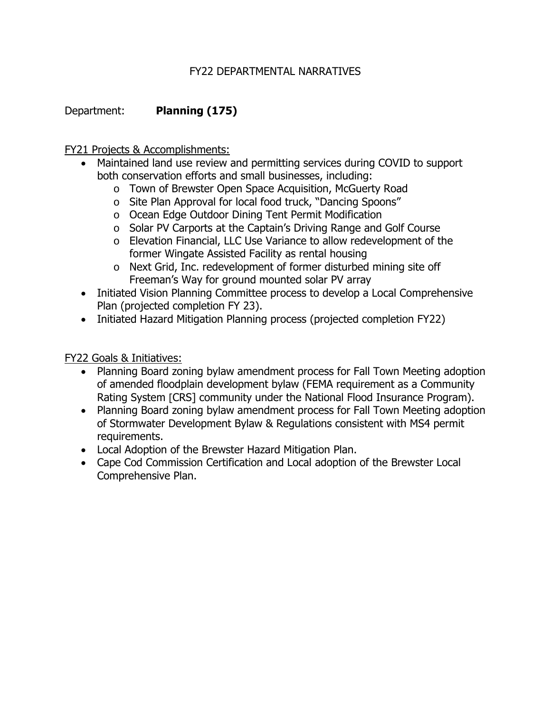## FY22 DEPARTMENTAL NARRATIVES

Department: **Planning (175)**

FY21 Projects & Accomplishments:

- Maintained land use review and permitting services during COVID to support both conservation efforts and small businesses, including:
	- o Town of Brewster Open Space Acquisition, McGuerty Road
	- o Site Plan Approval for local food truck, "Dancing Spoons"
	- o Ocean Edge Outdoor Dining Tent Permit Modification
	- o Solar PV Carports at the Captain's Driving Range and Golf Course
	- o Elevation Financial, LLC Use Variance to allow redevelopment of the former Wingate Assisted Facility as rental housing
	- o Next Grid, Inc. redevelopment of former disturbed mining site off Freeman's Way for ground mounted solar PV array
- Initiated Vision Planning Committee process to develop a Local Comprehensive Plan (projected completion FY 23).
- Initiated Hazard Mitigation Planning process (projected completion FY22)

FY22 Goals & Initiatives:

- Planning Board zoning bylaw amendment process for Fall Town Meeting adoption of amended floodplain development bylaw (FEMA requirement as a Community Rating System [CRS] community under the National Flood Insurance Program).
- Planning Board zoning bylaw amendment process for Fall Town Meeting adoption of Stormwater Development Bylaw & Regulations consistent with MS4 permit requirements.
- Local Adoption of the Brewster Hazard Mitigation Plan.
- Cape Cod Commission Certification and Local adoption of the Brewster Local Comprehensive Plan.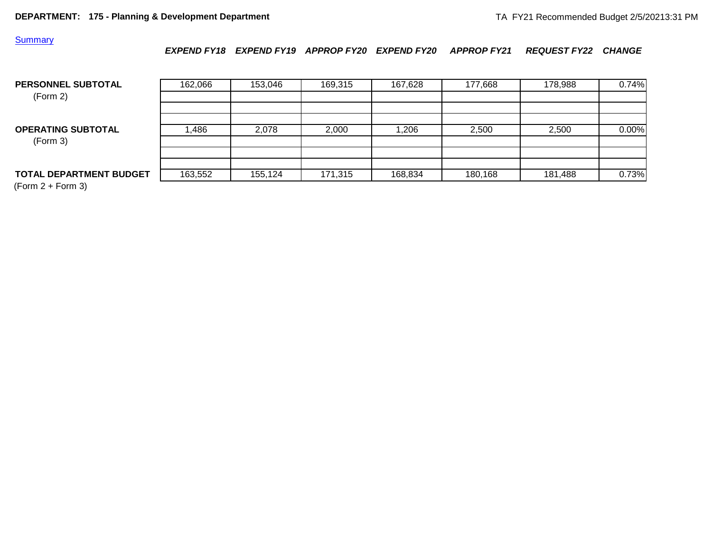## **Summary**

*EXPEND FY18 EXPEND FY19 APPROP FY20 EXPEND FY20 APPROP FY21 REQUEST FY22 CHANGE*

| PERSONNEL SUBTOTAL<br>(Form 2)        | 162,066 | 153,046 | 169,315 | 167,628 | 177,668 | 178,988 | 0.74% |
|---------------------------------------|---------|---------|---------|---------|---------|---------|-------|
| <b>OPERATING SUBTOTAL</b><br>(Form 3) | ,486    | 2,078   | 2,000   | 1,206   | 2,500   | 2,500   | 0.00% |
| <b>TOTAL DEPARTMENT BUDGET</b>        | 163,552 | 155.124 | 171,315 | 168,834 | 180,168 | 181,488 | 0.73% |

 $(Form 2 + Form 3)$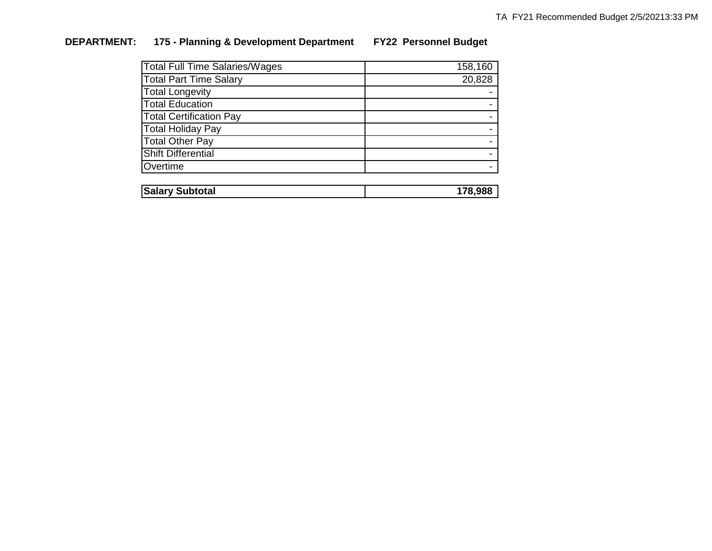## **DEPARTMENT: 175 - Planning & Development Department FY22 Personnel Budget**

| <b>Total Full Time Salaries/Wages</b> | 158,160 |
|---------------------------------------|---------|
| <b>Total Part Time Salary</b>         | 20,828  |
| <b>Total Longevity</b>                |         |
| <b>Total Education</b>                |         |
| <b>Total Certification Pay</b>        |         |
| <b>Total Holiday Pay</b>              |         |
| <b>Total Other Pay</b>                |         |
| <b>Shift Differential</b>             |         |
| Overtime                              |         |
|                                       |         |
| <b>Salary Subtotal</b>                | 178,988 |